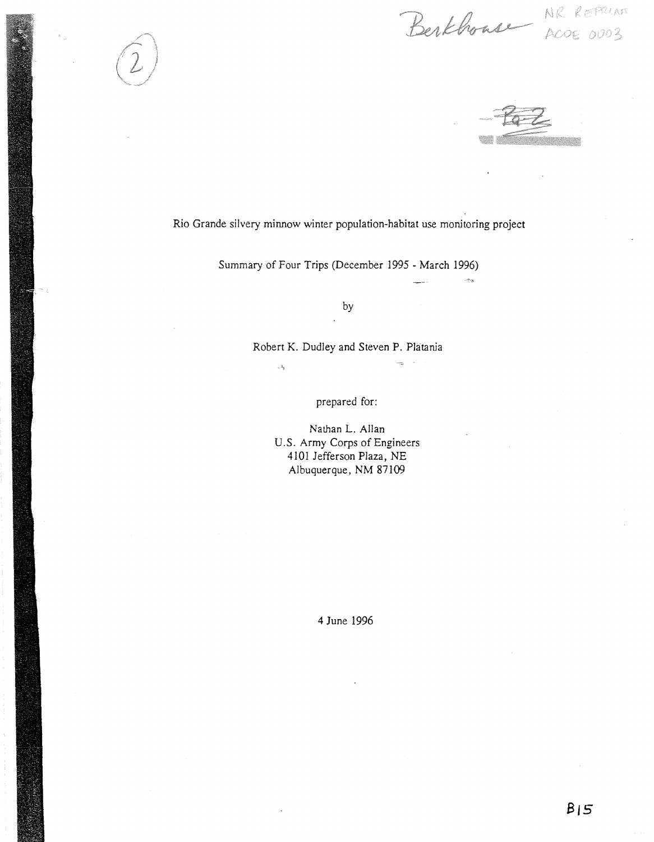Berkhouse NR REPRUN

NR REPRINT

Rio Grande silvery minnow winter population-habitat use monitoring project

Summary of Four Trips (December 1995 - March 1996)

by

Robert K. Dudley and Steven P. Platania

 $\pi^2\gamma$ 

prepared for:

Nathan L. Allan U.S. Army Corps of Engineers 4101 Jefferson Plaza, NE Albuquerque, NM 87109

4 June 1996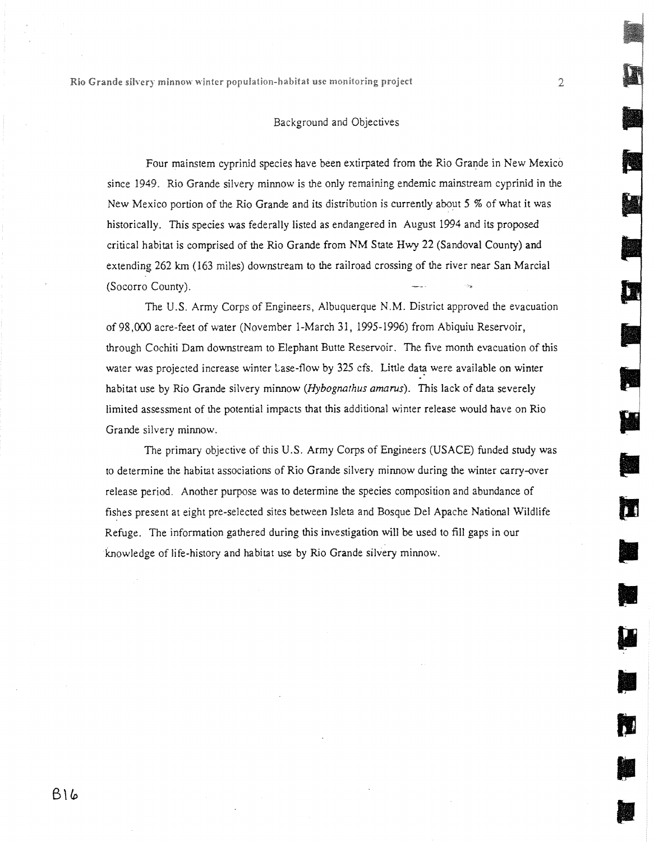## Background and Objectives

Four mainstem cyprinid species have been extirpated from the Rio Grande in New Mexico since 1949. Rio Grande silvery minnow is the only remaining endemic mainstream cyprinid in the New Mexico portion of the Rio Grande and its distribution is currently about 5 % of what it was historically. This species was federally listed as endangered in August 1994 and its proposed critical habitat is comprised of the Rio Grande from NM State Hwy 22 (Sandoval County) and extending 262 km (163 miles) downstream to the railroad crossing of the river near San Marcia] (Socorro County).

The U.S. Army Corps of Engineers, Albuquerque N.M. District approved the evacuation of 98,000 acre-feet of water (November I-March 31, 1995-1996) from Abiquiu Reservoir, through Cochiti Dam downstream to Elephant Butte Reservoir. The five month evacuation of this water was projected increase winter Lase-flow by 325 cfs. Little data were available on winter habitat use by Rio Grande silvery minnow *(Hybognathus amarus)*. This lack of data severely limited assessment of the potential impacts that this additional winter release would have on Rio Grande silvery minnow.

The primary objective of this U.S. Army Corps of Engineers (USACE) funded study was to determine the habitat associations of Rio Grande silvery minnow during the winter carry-over release period. Another purpose was to determine the species composition and abundance of fishes present at eight pre-selected sites between Islets and Bosque Del Apache Nadonal Wildlife Refuge. The information gathered during this investigation will be used to fill gaps in our knowledge of life-history and habitat use by Rio Grande silvery minnow.

į

**p** 

i i

n.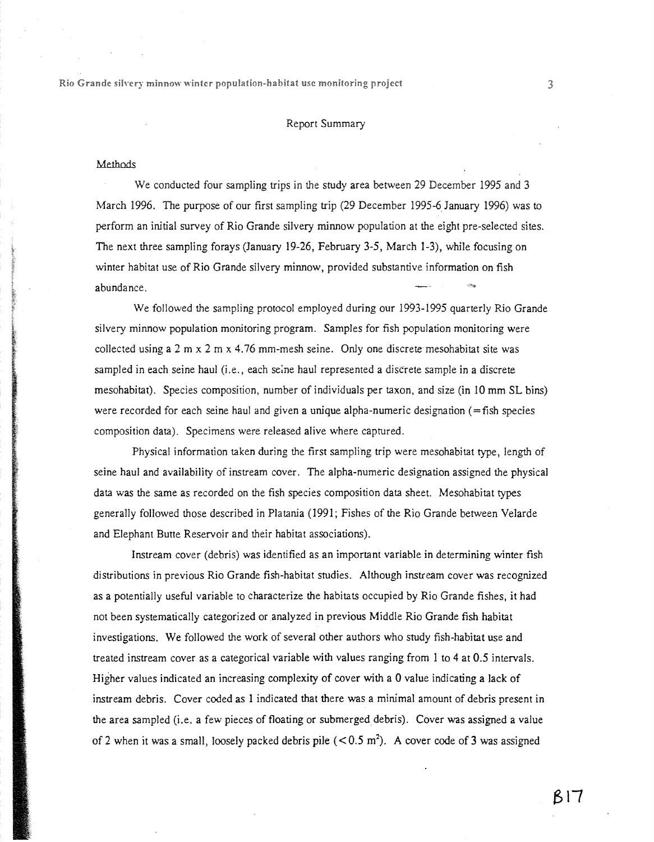### Report Summary

#### **Methods**

We conducted four sampling trips in the study area between 29 December 1995 and 3 March 1996. The purpose of our first sampling trip (29 December 1995-6 January 1996) was to perform an initial survey of Rio Grande silvery minnow population at the eight pre-selected sites. The next three sampling forays (January 19-26, February 3-5, March 1-3), while focusing on winter habitat use of Rio Grande silvery minnow, provided substantive information on fish abundance.

We followed the sampling protocol employed during our 1993-1995 quarterly Rio Grande silvery minnow population monitoring program. Samples for fish population monitoring were collected using a  $2 \text{ m} \times 2 \text{ m} \times 4.76 \text{ mm-mesh}$  seine. Only one discrete mesohabitat site was sampled in each seine haul (i.e., each seine haul represented a discrete sample in a discrete mesohabitat). Species composition, number of individuals per taxon, and size (in 10 mm SL bins) were recorded for each seine haul and given a unique alpha-numeric designation (=fish species composition data). Specimens were released alive where captured.

Physical information taken during the first sampling trip were mesohabitat type, length of seine haul and availability of instream cover. The alpha-numeric designation assigned the physical data was the same as recorded on the fish species composition data sheet. Mesohabitat types generally followed those described in Platania (1991; Fishes of the Rio Grande between Velarde and Elephant Butte Reservoir and their habitat associations).

Instream cover (debris) was identified as an important variable in determining winter fish distributions in previous Rio Grande fish-habitat studies. Although instream cover was recognized as a potentially useful variable to characterize the habitats occupied by Rio Grande fishes, it had not been systematically categorized or analyzed in previous Middle Rio Grande fish habitat investigations. We followed the work of several other authors who study fish-habitat use and treated instream cover as a categorical variable with values ranging from 1 to 4 at 0.5 intervals. Higher values indicated an increasing complexity of cover with a 0 value indicating a lack of instream debris. Cover coded as 1 indicated that there was a minimal amount of debris present in the area sampled (i.e. a few pieces of floating or submerged debris). Cover was assigned a value of 2 when it was a small, loosely packed debris pile  $(< 0.5 \text{ m}^2)$ . A cover code of 3 was assigned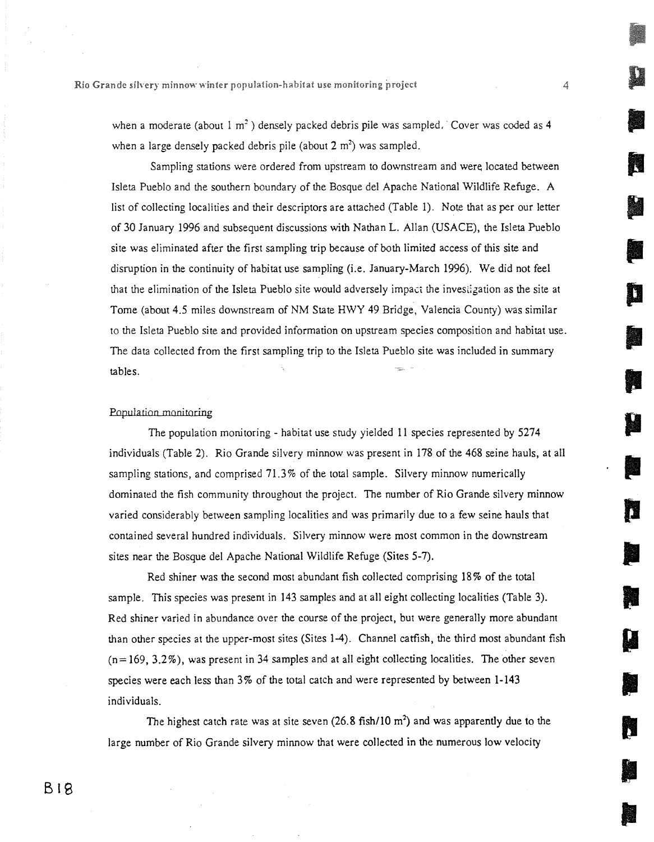when a moderate (about  $1 \text{ m}^2$ ) densely packed debris pile was sampled. Cover was coded as 4 when a large densely packed debris pile (about  $2 \text{ m}^2$ ) was sampled.

Sampling stations were ordered from upstream to downstream and were located between Isleta Pueblo and the southern boundary of the Bosque del Apache National Wildlife Refuge. A list of collecting localities and their descriptors are attached (Table 1). Note that as per our letter of 30 January 1996 and subsequent discussions with Nathan L. Allan (USACE), the Isleta Pueblo site was eliminated after the first sampling trip because of both limited access of this site and disruption in the continuity of habitat use sampling (i.e. January-March 1996). We did not feel that the elimination of the Isleta Pueblo site would adversely impact the inves,igation as the site at Tome (about 4.5 miles downstream of NM State HWY 49 Bridge, Valencia County) was similar to the Isleta Pueblo site and provided information on upstream species composition and habitat use. The data collected from the first sampling trip to the Isleta Pueblo site was included in summary tables.

**11** 

**111** 

**111** 

**111** 

**10** 

#### Population monitoring

The population monitoring - habitat use study yielded 11 species represented by 5274 individuals (Table 2). Rio Grande silvery minnow was present in 178 of the 468 seine hauls, at all sampling stations, and comprised 71.3% of the total sample. Silvery minnow numerically dominated the fish community throughout the project. The number of Rio Grande silvery minnow varied considerably between sampling localities and was primarily due to a few seine hauls that contained several hundred individuals. Silvery minnow were most common in the downstream sites near the Bosque del Apache National Wildlife Refuge (Sites 5-7).

Red shiner was the second most abundant fish collected comprising 18% of the total sample. This species was present in 143 samples and at all eight collecting localities (Table 3). Red shiner varied in abundance over the course of the project, but were generally more abundant than other species at the upper-most sites (Sites 1-4). Channel catfish, the third most abundant fish  $(n=169, 3.2\%)$ , was present in 34 samples and at all eight collecting localities. The other seven species were each less than 3% of the total catch and were represented by between 1-143 individuals.

The highest catch rate was at site seven  $(26.8 \text{ fish}/10 \text{ m}^2)$  and was apparently due to the large number of Rio Grande silvery minnow that were collected in the numerous low velocity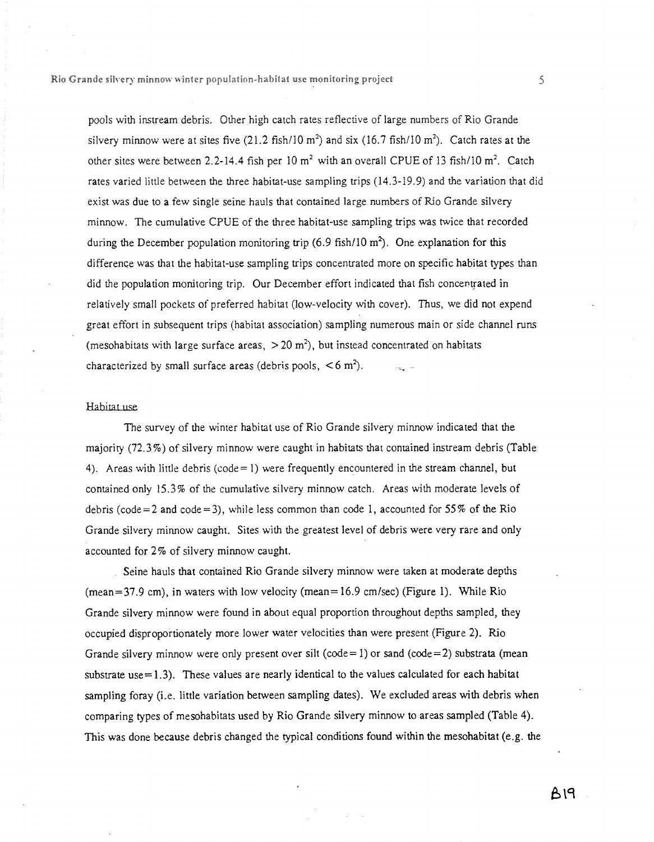pools with instream debris. Other high catch rates reflective of large numbers of Rio Grande silvery minnow were at sites five  $(21.2 \text{ fish}/10 \text{ m}^2)$  and six  $(16.7 \text{ fish}/10 \text{ m}^2)$ . Catch rates at the other sites were between 2.2-14.4 fish per 10 m<sup>2</sup> with an overall CPUE of 13 fish/10 m<sup>2</sup>. Catch rates varied little between the three habitat-use sampling trips (14.3-19.9) and the variation that did exist was due to a few single seine hauls that contained large numbers of Rio Grande silvery minnow. The cumulative CPUE of the three habitat-use sampling trips was twice that recorded during the December population monitoring trip  $(6.9 \text{ fish}/10 \text{ m}^2)$ . One explanation for this difference was that the habitat-use sampling trips concentrated more on specific habitat types than did the population monitoring trip. Our December effort indicated that fish concentrated in relatively small pockets of preferred habitat (low-velocity with cover). Thus, we did not expend great effort in subsequent trips (habitat association) sampling numerous main or side channel runs (mesohabitats with large surface areas,  $>$  20 m<sup>2</sup>), but instead concentrated on habitats characterized by small surface areas (debris pools,  $\leq 6$  m<sup>2</sup>).

#### Habitat use

The survey of the winter habitat use of Rio Grande silvery minnow indicated that the majority (72.3%) of silvery minnow were caught in habitats that contained instream debris (Table 4). Areas with little debris (code = 1) were frequently encountered in the stream channel, but contained only 15.3% of the cumulative silvery minnow catch. Areas with moderate levels of debris (code=2 and code=3), while less common than code 1, accounted for 55% of the Rio Grande silvery minnow caught. Sites with the greatest level of debris were very rare and only accounted for 2% of silvery minnow caught.

Seine hauls that contained Rio Grande silvery minnow were taken at moderate depths  $(mean=37.9 \text{ cm})$ , in waters with low velocity (mean=16.9 cm/sec) (Figure 1). While Rio Grande silvery minnow were found in about equal proportion throughout depths sampled, they occupied disproportionately more lower water velocities than were present (Figure 2). Rio Grande silvery minnow were only present over silt (code= $1$ ) or sand (code= $2$ ) substrata (mean substrate use $=1.3$ ). These values are nearly identical to the values calculated for each habitat sampling foray (i.e. little variation between sampling dates). We excluded areas with debris when comparing types of mesohabitats used by Rio Grande silvery minnow to areas sampled (Table 4). This was done because debris changed the typical conditions found within the mesohabitat (e.g. the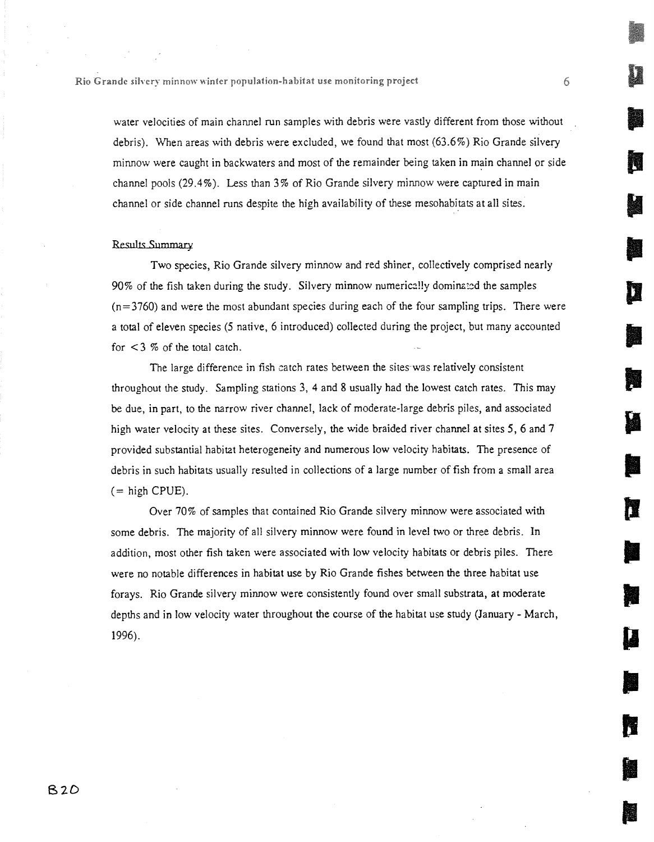water velocities of main channel run samples with debris were vastly different from those without debris). When areas with debris were excluded, we found that most (63.6%) Rio Grande silvery minnow were caught in backwaters and most of the remainder being taken in main channel or side channel pools (29.4%). Less than 3% of Rio Grande silvery minnow were captured in main channel or side channel runs despite the high availability of these mesohabitats at all sites.

#### Results Summary

Two species, Rio Grande silvery minnow and red shiner, collectively comprised nearly 90% of the fish taken during the study. Silvery minnow numerically dominated the samples  $(n=3760)$  and were the most abundant species during each of the four sampling trips. There were a total of eleven species (5 native, 6 introduced) collected during the project, but many accounted for  $\lt$  3 % of the total catch.

The large difference in fish catch rates between the sites was relatively consistent throughout the study. Sampling stations 3, 4 and 8 usually had the lowest catch rates. This may be due, in part, to the narrow river channel, lack of moderate-large debris piles, and associated high water velocity at these sites. Conversely, the wide braided river channel at sites 5, 6 and 7 provided substantial habitat heterogeneity and numerous low velocity habitats. The presence of debris in such habitats usually resulted in collections of a large number of fish from a small area  $(=$  high CPUE).

Over 70% of samples that contained Rio Grande silvery minnow were associated with some debris. The majority of all silvery minnow were found in level two or three debris. In addition, most other fish taken were associated with low velocity habitats or debris piles. There were no notable differences in habitat use by Rio Grande fishes between the three habitat use forays. Rio Grande silvery minnow were consistently found over small substrata, at moderate depths and in low velocity water throughout the course of the habitat use study (January - March, 1996).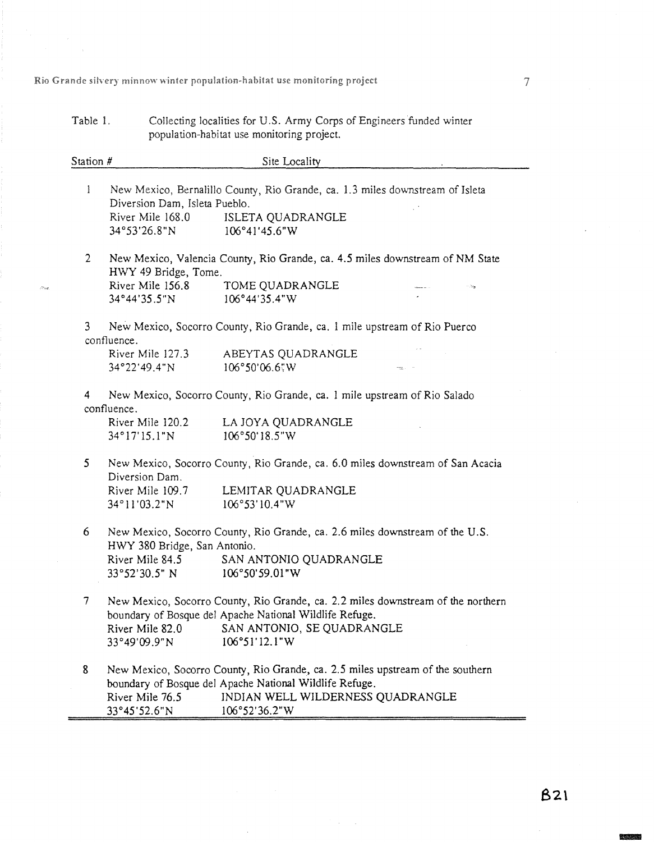Table 1. Collecting localities for U.S. Army Corps of Engineers funded winter

population-habitat use monitoring project. Station # Site Locality 1 New Mexico, Bernalillo County, Rio Grande, ca. 1.3 miles downstream of Isleta Diversion Dam, Isleta Pueblo. River Mile 168.0 ISLETA QUADRANGLE 34°53'26.8"N 106°41'45.6"W 2 New Mexico, Valencia County, Rio Grande, ca. 4.5 miles downstream of NM State HWY 49 Bridge, Tome. River Mile 156.8 TOME QUADRANGLE 34°4435.5N 106°44'35.4"W 3 New Mexico, Socorro County, Rio Grande, ca. 1 mile upstream of Rio Puerco confluence. River Mile 127.3 ABEYTAS QUADRANGLE 34°22'49.4"N 106°50'06.6"W 4 New Mexico, Socorro County, Rio Grande, ca. 1 mile upstream of Rio Salado confluence. River Mile 120.2 LA JOYA QUADRANGLE 34°17'15.1"N 106°50'18.5"W 5 New Mexico, Socorro County, Rio Grande, ca. 6.0 miles downstream of San Acacia Diversion Dam. River Mile 109.7 LEMITAR QUADRANGLE 34°11'03.2"N 106°53'10.4"W 6 New Mexico, Socorro County, Rio Grande, ca. 2.6 miles downstream of the U.S. HWY 380 Bridge, San Antonio. River Mile 84.5 SAN ANTONIO QUADRANGLE 33°52'30.5" N 106°50'59.01"W 7 New Mexico, Socorro County, Rio Grande, ca. 2.2 miles downstream of the northern boundary of Bosque del Apache National Wildlife Refuge. River Mile 82.0 SAN ANTONIO, SE QUADRANGLE<br>33°49'09.9"N 106°51'12.1"W 33°49'09.9"N 106°51'12.1"W 8 New Mexico, Socorro County, Rio Grande, ca. 2.5 miles upstream of the southern boundary of Bosque del Apache National Wildlife Refuge. River Mile 76.5 INDIAN WELL WILDERNESS QUADRANGLE 33°4552.6"N 106°52'36.2"W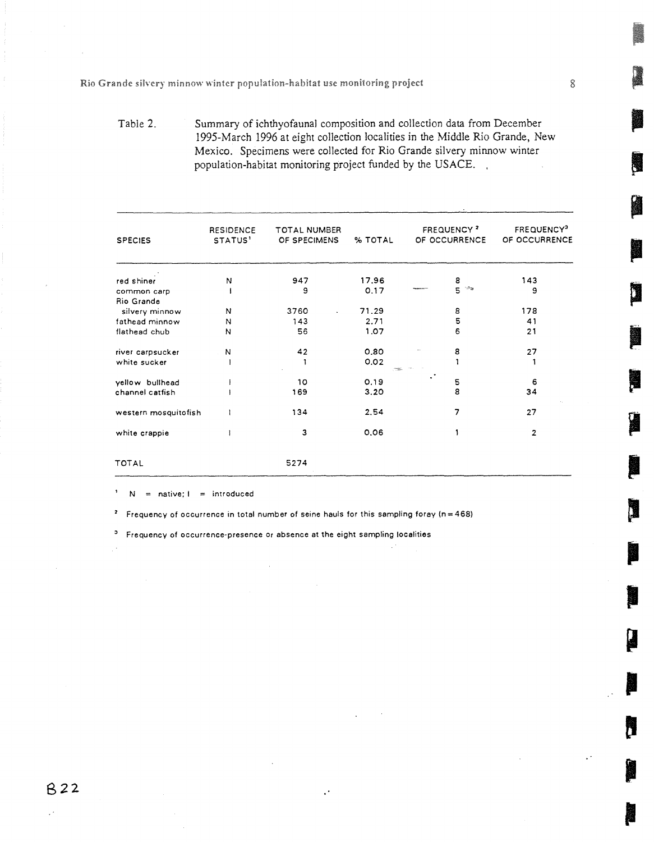Table 2. Summary of ichthyofaunal composition and collection data from December 1995-March 1996 at eight collection localities in the Middle Rio Grande, New Mexico. Specimens were collected for Rio Grande silvery minnow winter population-habitat monitoring project funded by the USACE. ,

| <b>SPECIES</b>       | TOTAL NUMBER<br><b>RESIDENCE</b><br>STATUS'<br>OF SPECIMENS |      | % TOTAL | <b>FREQUENCY?</b><br>OF OCCURRENCE |                                 | FREQUENCY <sup>3</sup><br>OF OCCURRENCE |  |
|----------------------|-------------------------------------------------------------|------|---------|------------------------------------|---------------------------------|-----------------------------------------|--|
| red shiner           | $\mathsf{N}$                                                | 947  | 17.96   |                                    |                                 | 143                                     |  |
| common carp          |                                                             | 9    | 0.17    |                                    | $\frac{8}{5}$ and $\frac{1}{2}$ | 9                                       |  |
| Rio Grande           |                                                             |      |         |                                    |                                 |                                         |  |
| silvery minnow       | N                                                           | 3760 | 71.29   |                                    | 8                               | 178                                     |  |
| fathead minnow       | N                                                           | 143  | 2.71    |                                    | 5                               | 41                                      |  |
| flathead chub        | N                                                           | 56   | 1.07    |                                    | 6                               | 21                                      |  |
| river carpsucker     | N                                                           | 42   | 0.80    |                                    | 8                               | 27                                      |  |
| white sucker         |                                                             |      | 0.02    |                                    |                                 |                                         |  |
| yellow bullhead      |                                                             | 10   | 0.19    |                                    | 5                               | 6                                       |  |
| channel catfish      |                                                             | 169  | 3.20    |                                    | 8                               | 34                                      |  |
| western mosquitofish |                                                             | 134  | 2.54    |                                    | 7                               | 27                                      |  |
| white crappie        |                                                             | з    | 0.06    |                                    |                                 | $\overline{2}$                          |  |
| <b>TOTAL</b>         |                                                             | 5274 |         |                                    |                                 |                                         |  |

 $\mathbf{I}$  $N =$  native;  $l =$  introduced

Frequency of occurrence in total number of seine hauls for this sampling foray (n=468)  $\pmb{z}$ 

<sup>3</sup> Frequency of occurrence-presence or absence at the eight sampling localities

62 <sup>2</sup>

8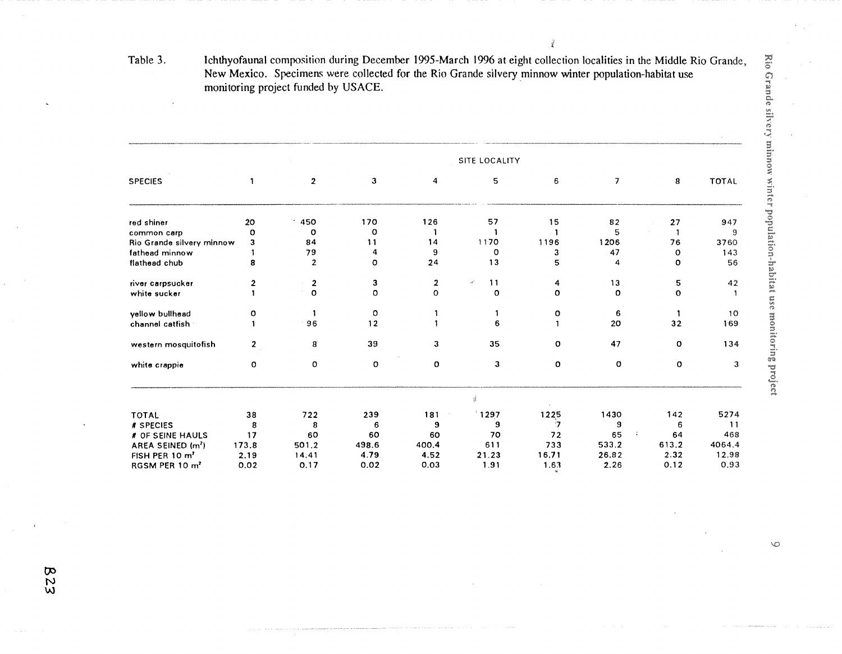Table 3. lchthyofaunal composition during December 1995-March 1996 at eight collection localities in the Middle Rio Grande, New Mexico. Specimens were collected for the Rio Grande silvery minnow winter population-habitat use monitoring project funded by USACE.

 $\vec{q}$ 

|                               | <b>SITE LOCALITY</b> |                |              |                  |          |       |                          |              |              |
|-------------------------------|----------------------|----------------|--------------|------------------|----------|-------|--------------------------|--------------|--------------|
| <b>SPECIES</b>                |                      | $\overline{2}$ | $\mathbf{3}$ | 4                | 5        | 6     | $\overline{\phantom{a}}$ | 8            | <b>TOTAL</b> |
| red shiner                    | 20                   | .450           | 170          | 126              | 57       | 15    | 82                       | 27           | 947          |
| common carp                   | o                    | o              | o            |                  |          |       | 5                        |              | 9            |
| Rio Grande silvery minnow     | з                    | 84             | 11           | 14               | 1170     | 1196  | 1206                     | 76           | 3760         |
| fathead minnow                |                      | 79             | 4            | 9                | $\circ$  | з     | 47                       | $\Omega$     | 143          |
| flathead chub                 | 8                    | $\overline{2}$ | $\circ$      | 24               | 13       | 5     | 4                        | o            | 56           |
| river carpsucker              | $\overline{2}$       | $\overline{2}$ | 3            | $\boldsymbol{2}$ | 11<br>чě | 4     | 13                       | 5            | 42           |
| white sucker                  |                      | $\circ$        | $\circ$      | $\circ$          | $\circ$  | O     | $\circ$                  | $\mathbf{o}$ |              |
| yellow bullhead               | o                    |                | $\circ$      |                  |          | o     | 6                        |              | 10           |
| channel catfish               |                      | 96             | 12           |                  | 6        |       | 20                       | 32           | 169          |
| western mosquitofish          | $\mathbf{2}$         | 8              | 39           | 3                | 35       | o     | 47                       | o            | 134          |
| white crappie                 | 0                    | O              | $\circ$      | o                | 3        | o     | $\circ$                  | O            | 3            |
|                               |                      |                |              |                  |          |       |                          |              |              |
| <b>TOTAL</b>                  | 38                   | 722            | 239          | 181              | 1297     | 1225  | 1430                     | 142          | 5274         |
| # SPECIES                     | 8                    | 8              | 6            | 9                | 9        | 7     | 9                        | 6            | 11           |
| # OF SEINE HAULS              | 17                   | 60             | 60           | 60               | 70       | 72    | 65<br>÷                  | 64           | 468          |
| AREA SEINED (m <sup>2</sup> ) | 173.8                | 501.2          | 498.6        | 400.4            | 611      | 733   | 533.2                    | 613.2        | 4064.4       |
| FISH PER 10 m <sup>2</sup>    | 2.19                 | 14.41          | 4.79         | 4.52             | 21.23    | 16.71 | 26.82                    | 2.32         | 12.98        |
| RGSM PER 10 m <sup>2</sup>    | 0.02                 | 0.17           | 0.02         | 0.03             | 1.91     | 1.63  | 2.26                     | 0.12         | 0.93         |

823

 $\infty$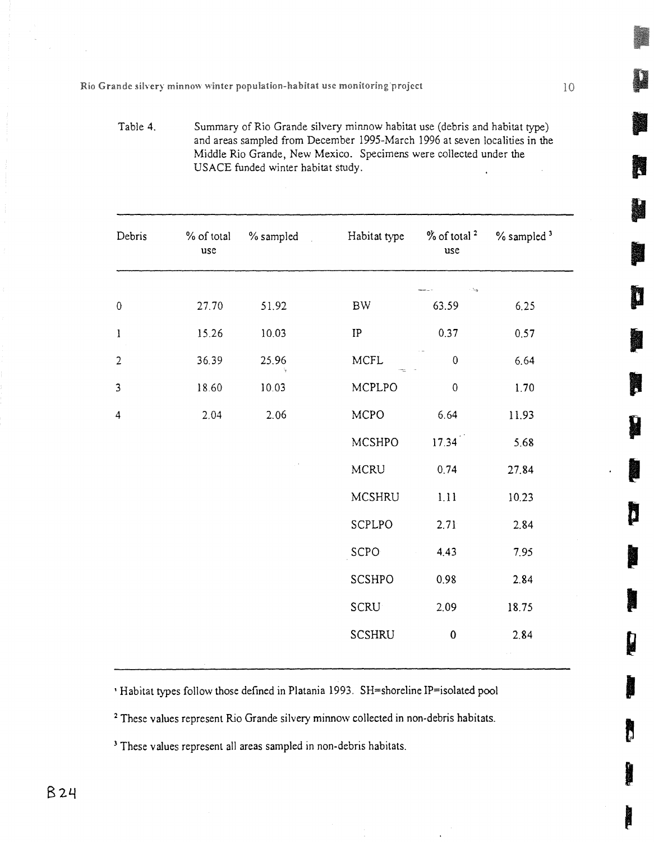Table 4. Summary of Rio Grande silvery minnow habitat use (debris and habitat type) and areas sampled from December 1995-March 1996 at seven localities in the Middle Rio Grande, New Mexico. Specimens were collected under the USAGE funded winter habitat study.

| Debris         | % of total<br>$_{\rm use}$ | $\%$ sampled | Habitat type               | $%$ of total $2$<br>use | $%$ sampled $3$                |
|----------------|----------------------------|--------------|----------------------------|-------------------------|--------------------------------|
|                |                            |              |                            | Лą.                     |                                |
| $\pmb{0}$      | 27.70                      | 51.92        | <b>BW</b>                  | 63.59                   | 6.25                           |
| $\bf{l}$       | 15.26                      | 10.03        | $\ensuremath{\mathsf{IP}}$ | 0.37                    | 0.57                           |
| $\overline{2}$ | 36.39                      | 25.96        | <b>MCFL</b>                | $\boldsymbol{0}$        | 6.64                           |
| $\overline{3}$ | 18.60                      | 10.03        | MCPLPO                     | $\pmb{0}$               | 1.70                           |
| 4              | 2.04                       | 2.06         | <b>MCPO</b>                | 6.64                    | 11.93                          |
|                |                            |              | MCSHPO                     | 17.34                   | 5.68                           |
|                |                            |              | <b>MCRU</b>                | 0.74                    | 27.84                          |
|                |                            |              | <b>MCSHRU</b>              | 1.11                    | 10.23                          |
|                |                            |              | SCPLPO                     | 2.71                    | 2.84                           |
|                |                            |              | SCPO                       | 4.43                    | 7.95                           |
|                |                            |              | SCSHPO                     | 0.98                    | 2.84                           |
|                |                            |              | SCRU                       | 2.09                    | 18.75                          |
|                |                            |              | <b>SCSHRU</b>              | $\bf{0}$                | 2.84                           |
|                |                            |              |                            |                         | $\alpha$ , $\alpha$ , $\alpha$ |

' Habitat types follow those defined in Platania 1993. SH=shoreline IP=isolated pool

<sup>2</sup> These values represent Rio Grande silvery minnow collected in non-debris habitats.

<sup>3</sup> These values represent all areas sampled in non-debris habitats.

**p** 

N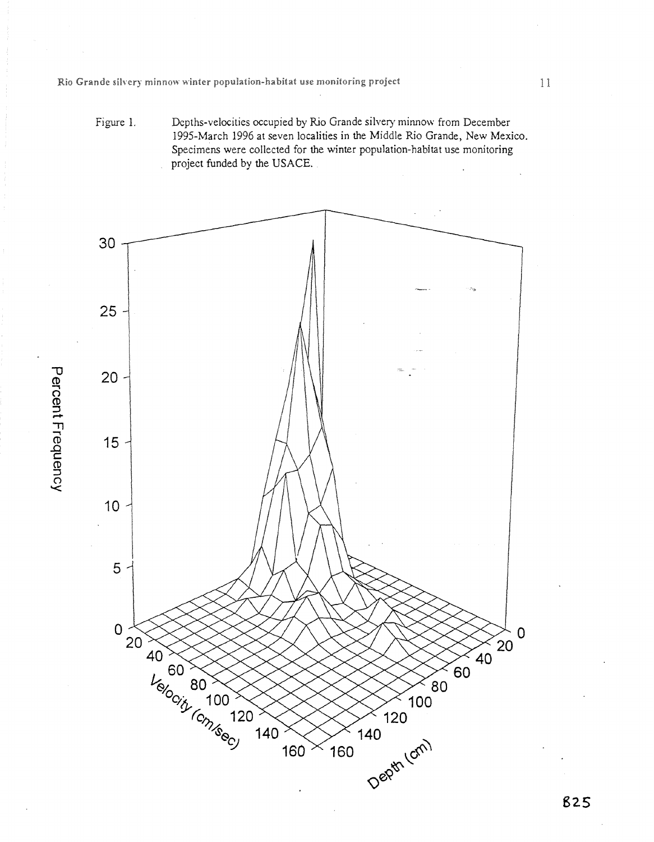Figure 1. Depths-velocities occupied by Rio Grande silvery minnow from December 1995-March 1996 at seven localities in the Middle Rio Grande, New Mexico. Specimens were collected for the winter population-habitat use monitoring project funded by the USACE.



CD **`11 CD** 

 $\Omega$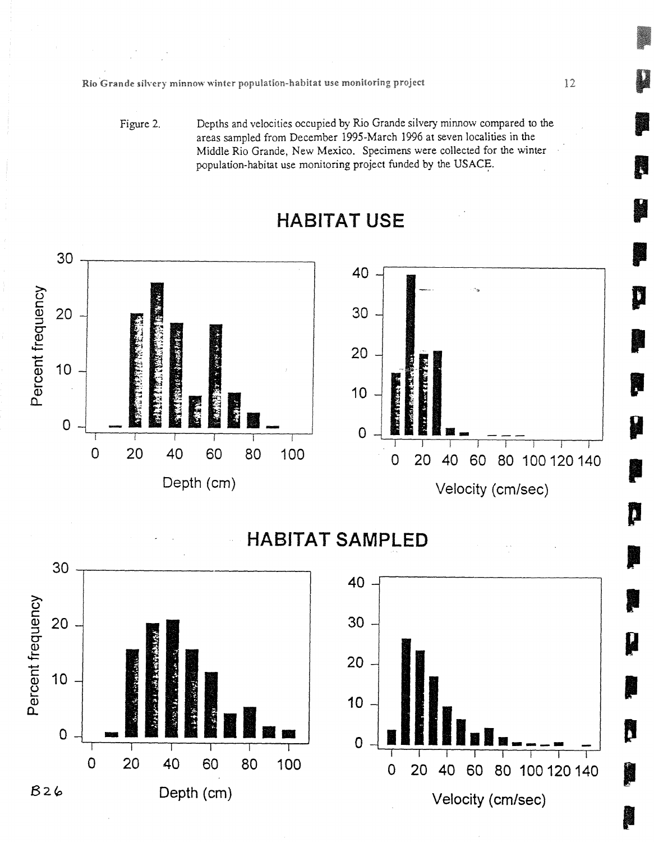Figure 2. Depths and velocities occupied by Rio Grande silvery minnow compared to the areas sampled from December 1995-March 1996 at seven localities in the Middle Rio Grande, New Mexico. Specimens were collected for the winter population-habitat use monitoring project funded by the USACE.



# **HABITAT USE**

**HABITAT SAMPLED** 





D

Ñ

i.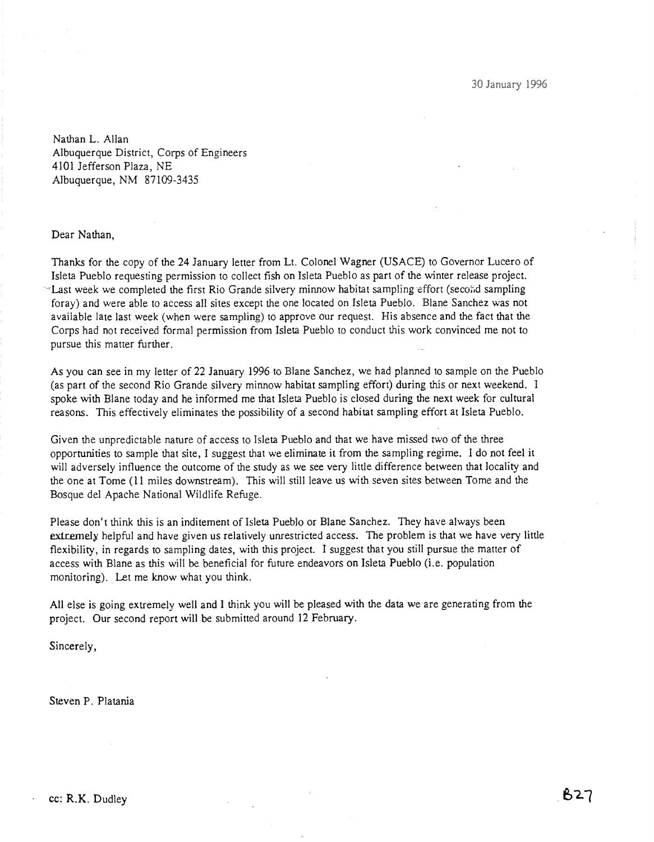Nathan L. Allan Albuquerque District, Corps of Engineers 4101 Jefferson Plaza, NE Albuquerque, NM 87109-3435

Dear Nathan,

Thanks for the copy of the 24 January letter from Lt. Colonel Wagner (USACE) to Governor Lucero of Isleta Pueblo requesting permission to collect fish on Isleta Pueblo as part of the winter release project. Last week we completed the first Rio Grande silvery minnow habitat sampling effort (second sampling foray) and were able to access all sites except the one located on Isleta Pueblo. Blane Sanchez was not available late last week (when were sampling) to approve our request. His absence and the fact that the Corps had not received formal permission from Isleta Pueblo to conduct this work convinced me not to pursue this matter further.

As you can see in my letter of 22 January 1996 to Blane Sanchez, we had planned to sample on the Pueblo (as part of the second Rio Grande silvery minnow habitat sampling effort) during this or next weekend. I spoke with Blane today and he informed me that Isleta Pueblo is closed during the next week for cultural reasons. This effectively eliminates the possibility of a second habitat sampling effort at Isleta Pueblo.

Given the unpredictable nature of access to Isleta Pueblo and that we have missed two of the three opportunities to sample that site, I suggest that we eliminate it from the sampling regime. I do not feel it will adversely influence the outcome of the study as we see very little difference between that locality and the one at Tome (11 miles downstream). This will still leave us with seven sites between Tome and the Bosque del Apache National Wildlife Refuge.

Please don't think this is an inditement of Isleta Pueblo or Blane Sanchez. They have always been extremely helpful and have given us relatively unrestricted access. The problem is that we have very little flexibility, in regards to sampling dates, with this project. I suggest that you still pursue the matter of access with Blane as this will be beneficial for future endeavors on Isleta Pueblo (i.e. population monitoring). Let me know what you think.

All else is going extremely well and I think you will be pleased with the data we are generating from the project. Our second report will be submitted around 12 February.

Sincerely,

Steven P. Platania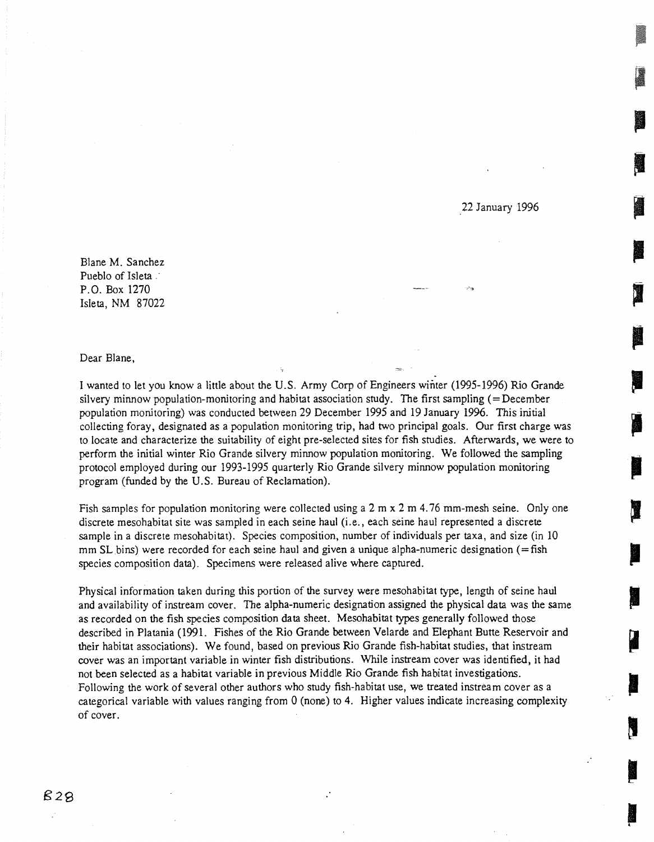22 January 1996

Blane M. Sanchez Pueblo of Isleta . P.O. Box 1270 Isleta, NM 87022

Dear Blane,

I wanted to let you know a little about the U.S. Army Corp of Engineers winter (1995-1996) Rio Grande silvery minnow population-monitoring and habitat association study. The first sampling (=December population monitoring) was conducted between 29 December 1995 and 19 January 1996. This initial collecting foray, designated as a population monitoring trip, had two principal goals. Our first charge was to locate and characterize the suitability of eight pre-selected sites for fish studies. Afterwards, we were to perform the initial winter Rio Grande silvery minnow population monitoring. We followed the sampling protocol employed during our 1993-1995 quarterly Rio Grande silvery minnow population monitoring program (funded by the U.S. Bureau of Reclamation).

Fish samples for population monitoring were collected using a  $2 \text{ m } x$  2 m  $4.76 \text{ mm-mesh}$  seine. Only one discrete mesohabitat site was sampled in each seine haul (i.e., each seine haul represented a discrete sample in a discrete mesohabitat). Species composition, number of individuals per taxa, and size (in 10 mm SL bins) were recorded for each seine haul and given a unique alpha-numeric designation (=fish species composition data). Specimens were released alive where captured.

Physical information taken during this portion of the survey were mesohabitat type, length of seine haul and availability of instream cover. The alpha-numeric designation assigned the physical data was the same as recorded on the fish species composition data sheet. Mesohabitat types generally followed those described in Platania (1991. Fishes of the Rio Grande between Velarde and Elephant Butte Reservoir and their habitat associations). We found, based on previous Rio Grande fish-habitat studies, that instream cover was an important variable in winter fish distributions. While instream cover was identified, it had not been selected as a habitat variable in previous Middle Rio Grande fish habitat investigations. Following the work of several other authors who study fish-habitat use, we treated instream cover as a categorical variable with values ranging from 0 (none) to 4. Higher values indicate increasing complexity of cover.